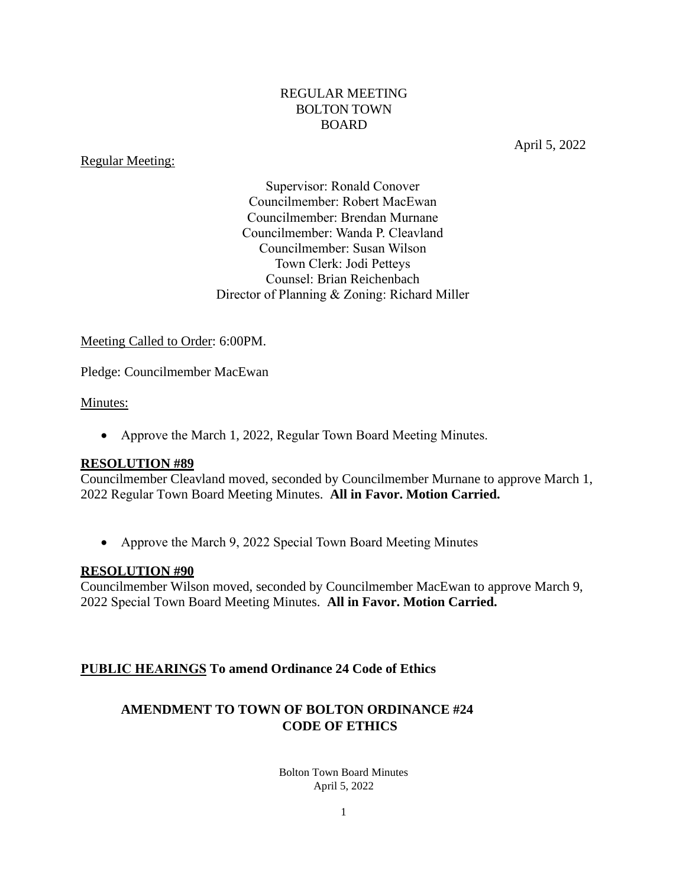### REGULAR MEETING BOLTON TOWN BOARD

### Regular Meeting:

April 5, 2022

Supervisor: Ronald Conover Councilmember: Robert MacEwan Councilmember: Brendan Murnane Councilmember: Wanda P. Cleavland Councilmember: Susan Wilson Town Clerk: Jodi Petteys Counsel: Brian Reichenbach Director of Planning & Zoning: Richard Miller

### Meeting Called to Order: 6:00PM.

Pledge: Councilmember MacEwan

### Minutes:

• Approve the March 1, 2022, Regular Town Board Meeting Minutes.

### **RESOLUTION #89**

Councilmember Cleavland moved, seconded by Councilmember Murnane to approve March 1, 2022 Regular Town Board Meeting Minutes. **All in Favor. Motion Carried.**

• Approve the March 9, 2022 Special Town Board Meeting Minutes

### **RESOLUTION #90**

Councilmember Wilson moved, seconded by Councilmember MacEwan to approve March 9, 2022 Special Town Board Meeting Minutes. **All in Favor. Motion Carried.**

### **PUBLIC HEARINGS To amend Ordinance 24 Code of Ethics**

# **AMENDMENT TO TOWN OF BOLTON ORDINANCE #24 CODE OF ETHICS**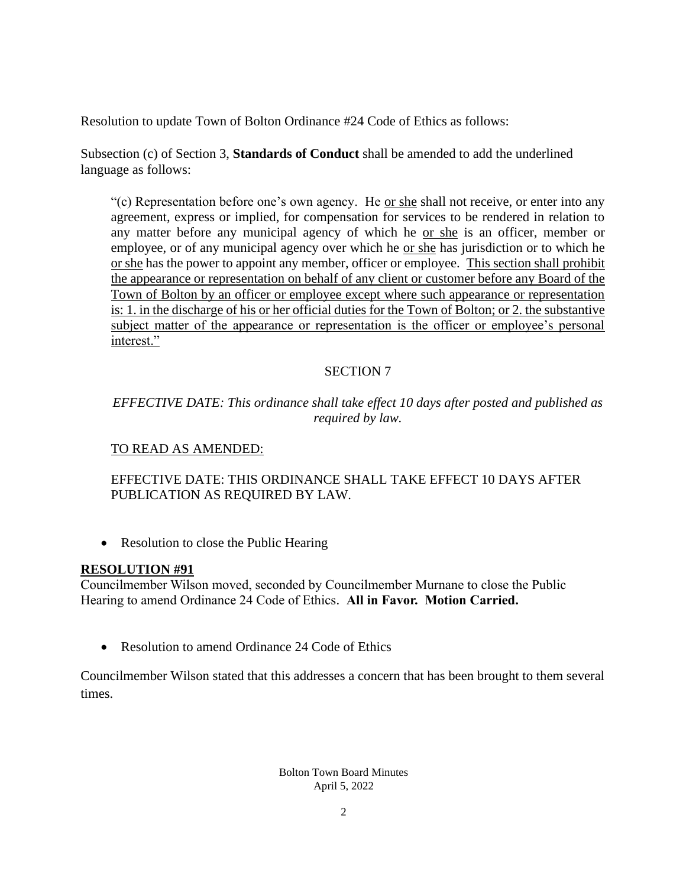Resolution to update Town of Bolton Ordinance #24 Code of Ethics as follows:

Subsection (c) of Section 3, **Standards of Conduct** shall be amended to add the underlined language as follows:

"(c) Representation before one's own agency. He or she shall not receive, or enter into any agreement, express or implied, for compensation for services to be rendered in relation to any matter before any municipal agency of which he or she is an officer, member or employee, or of any municipal agency over which he or she has jurisdiction or to which he or she has the power to appoint any member, officer or employee. This section shall prohibit the appearance or representation on behalf of any client or customer before any Board of the Town of Bolton by an officer or employee except where such appearance or representation is: 1. in the discharge of his or her official duties for the Town of Bolton; or 2. the substantive subject matter of the appearance or representation is the officer or employee's personal interest."

# SECTION 7

# *EFFECTIVE DATE: This ordinance shall take effect 10 days after posted and published as required by law.*

## TO READ AS AMENDED:

# EFFECTIVE DATE: THIS ORDINANCE SHALL TAKE EFFECT 10 DAYS AFTER PUBLICATION AS REQUIRED BY LAW.

• Resolution to close the Public Hearing

### **RESOLUTION #91**

Councilmember Wilson moved, seconded by Councilmember Murnane to close the Public Hearing to amend Ordinance 24 Code of Ethics. **All in Favor. Motion Carried.**

Resolution to amend Ordinance 24 Code of Ethics

Councilmember Wilson stated that this addresses a concern that has been brought to them several times.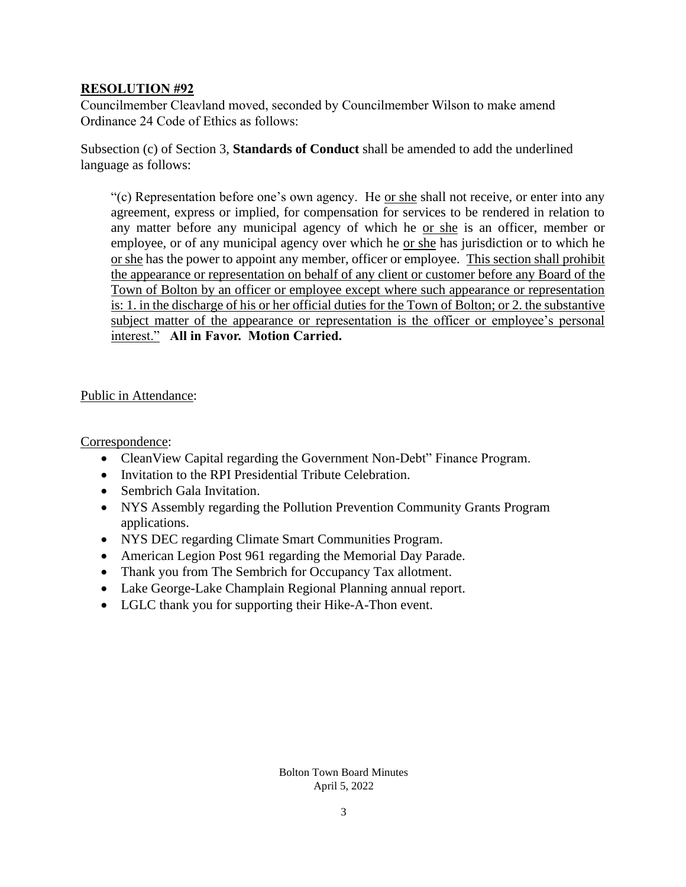## **RESOLUTION #92**

Councilmember Cleavland moved, seconded by Councilmember Wilson to make amend Ordinance 24 Code of Ethics as follows:

Subsection (c) of Section 3, **Standards of Conduct** shall be amended to add the underlined language as follows:

"(c) Representation before one's own agency. He <u>or she</u> shall not receive, or enter into any agreement, express or implied, for compensation for services to be rendered in relation to any matter before any municipal agency of which he or she is an officer, member or employee, or of any municipal agency over which he or she has jurisdiction or to which he or she has the power to appoint any member, officer or employee. This section shall prohibit the appearance or representation on behalf of any client or customer before any Board of the Town of Bolton by an officer or employee except where such appearance or representation is: 1. in the discharge of his or her official duties for the Town of Bolton; or 2. the substantive subject matter of the appearance or representation is the officer or employee's personal interest." **All in Favor. Motion Carried.**

### Public in Attendance:

Correspondence:

- Clean View Capital regarding the Government Non-Debt" Finance Program.
- Invitation to the RPI Presidential Tribute Celebration.
- Sembrich Gala Invitation.
- NYS Assembly regarding the Pollution Prevention Community Grants Program applications.
- NYS DEC regarding Climate Smart Communities Program.
- American Legion Post 961 regarding the Memorial Day Parade.
- Thank you from The Sembrich for Occupancy Tax allotment.
- Lake George-Lake Champlain Regional Planning annual report.
- LGLC thank you for supporting their Hike-A-Thon event.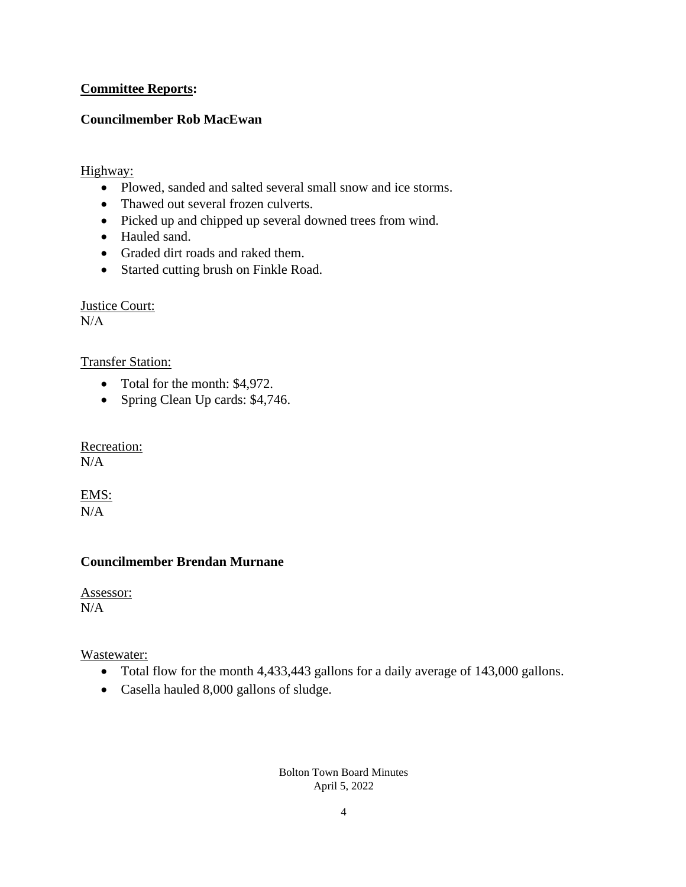## **Committee Reports:**

## **Councilmember Rob MacEwan**

## Highway:

- Plowed, sanded and salted several small snow and ice storms.
- Thawed out several frozen culverts.
- Picked up and chipped up several downed trees from wind.
- Hauled sand.
- Graded dirt roads and raked them.
- Started cutting brush on Finkle Road.

Justice Court:  $N/A$ 

### Transfer Station:

- Total for the month: \$4,972.
- Spring Clean Up cards: \$4,746.

Recreation:  $N/A$ 

EMS:  $N/A$ 

## **Councilmember Brendan Murnane**

Assessor:  $N/A$ 

Wastewater:

- Total flow for the month 4,433,443 gallons for a daily average of 143,000 gallons.
- Casella hauled 8,000 gallons of sludge.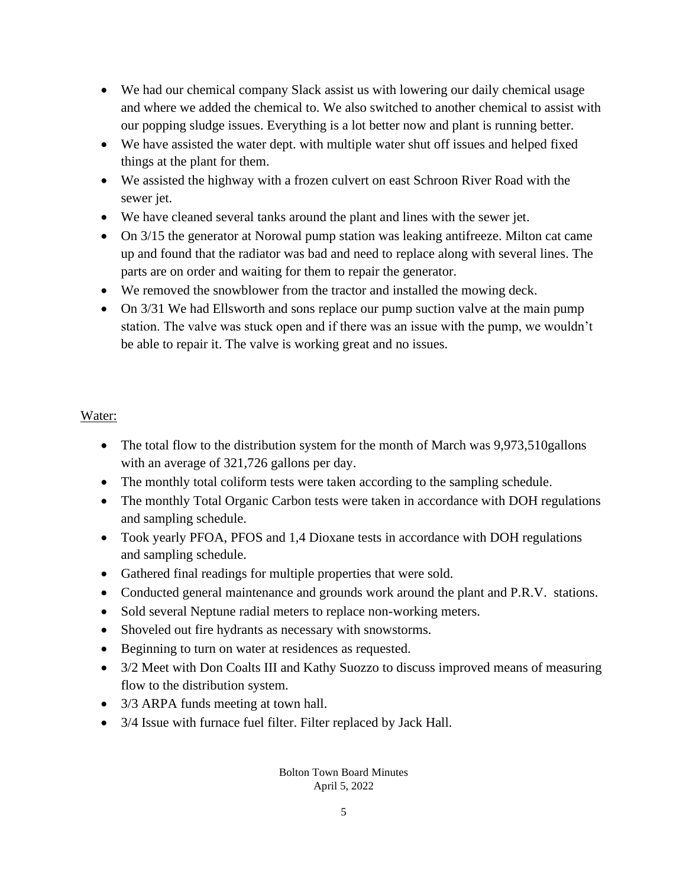- We had our chemical company Slack assist us with lowering our daily chemical usage and where we added the chemical to. We also switched to another chemical to assist with our popping sludge issues. Everything is a lot better now and plant is running better.
- We have assisted the water dept. with multiple water shut off issues and helped fixed things at the plant for them.
- We assisted the highway with a frozen culvert on east Schroon River Road with the sewer jet.
- We have cleaned several tanks around the plant and lines with the sewer jet.
- On 3/15 the generator at Norowal pump station was leaking antifreeze. Milton cat came up and found that the radiator was bad and need to replace along with several lines. The parts are on order and waiting for them to repair the generator.
- We removed the snowblower from the tractor and installed the mowing deck.
- On 3/31 We had Ellsworth and sons replace our pump suction valve at the main pump station. The valve was stuck open and if there was an issue with the pump, we wouldn't be able to repair it. The valve is working great and no issues.

# Water:

- The total flow to the distribution system for the month of March was 9,973,510 gallons with an average of 321,726 gallons per day.
- The monthly total coliform tests were taken according to the sampling schedule.
- The monthly Total Organic Carbon tests were taken in accordance with DOH regulations and sampling schedule.
- Took yearly PFOA, PFOS and 1,4 Dioxane tests in accordance with DOH regulations and sampling schedule.
- Gathered final readings for multiple properties that were sold.
- Conducted general maintenance and grounds work around the plant and P.R.V. stations.
- Sold several Neptune radial meters to replace non-working meters.
- Shoveled out fire hydrants as necessary with snowstorms.
- Beginning to turn on water at residences as requested.
- 3/2 Meet with Don Coalts III and Kathy Suozzo to discuss improved means of measuring flow to the distribution system.
- 3/3 ARPA funds meeting at town hall.
- 3/4 Issue with furnace fuel filter. Filter replaced by Jack Hall.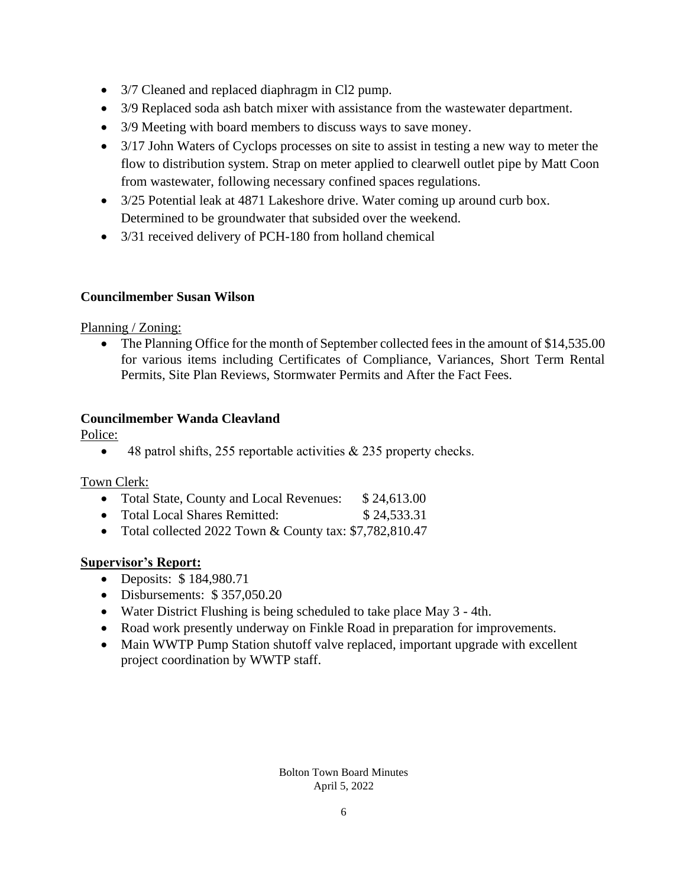- 3/7 Cleaned and replaced diaphragm in Cl2 pump.
- 3/9 Replaced soda ash batch mixer with assistance from the wastewater department.
- 3/9 Meeting with board members to discuss ways to save money.
- 3/17 John Waters of Cyclops processes on site to assist in testing a new way to meter the flow to distribution system. Strap on meter applied to clearwell outlet pipe by Matt Coon from wastewater, following necessary confined spaces regulations.
- 3/25 Potential leak at 4871 Lakeshore drive. Water coming up around curb box. Determined to be groundwater that subsided over the weekend.
- 3/31 received delivery of PCH-180 from holland chemical

# **Councilmember Susan Wilson**

## Planning / Zoning:

The Planning Office for the month of September collected fees in the amount of \$14,535.00 for various items including Certificates of Compliance, Variances, Short Term Rental Permits, Site Plan Reviews, Stormwater Permits and After the Fact Fees.

# **Councilmember Wanda Cleavland**

Police:

• 48 patrol shifts, 255 reportable activities  $\&$  235 property checks.

### Town Clerk:

- Total State, County and Local Revenues: \$24,613.00
- Total Local Shares Remitted: \$24,533.31
- Total collected 2022 Town & County tax: \$7,782,810.47

# **Supervisor's Report:**

- Deposits: \$ 184,980.71
- Disbursements: \$357,050.20
- Water District Flushing is being scheduled to take place May 3 4th.
- Road work presently underway on Finkle Road in preparation for improvements.
- Main WWTP Pump Station shutoff valve replaced, important upgrade with excellent project coordination by WWTP staff.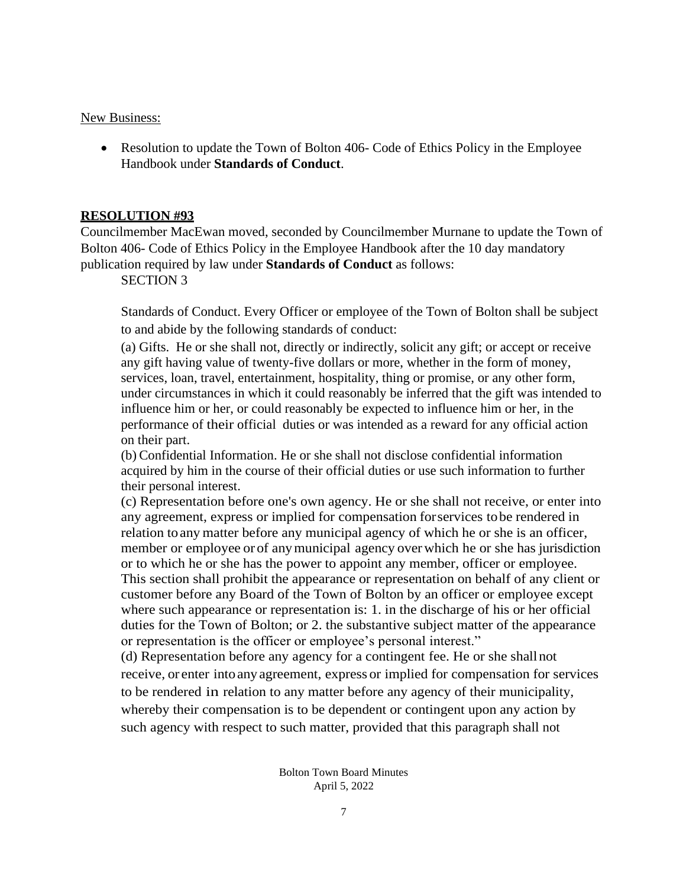#### New Business:

• Resolution to update the Town of Bolton 406- Code of Ethics Policy in the Employee Handbook under **Standards of Conduct**.

### **RESOLUTION #93**

Councilmember MacEwan moved, seconded by Councilmember Murnane to update the Town of Bolton 406- Code of Ethics Policy in the Employee Handbook after the 10 day mandatory publication required by law under **Standards of Conduct** as follows:

SECTION 3

Standards of Conduct. Every Officer or employee of the Town of Bolton shall be subject to and abide by the following standards of conduct:

(a) Gifts. He or she shall not, directly or indirectly, solicit any gift; or accept or receive any gift having value of twenty-five dollars or more, whether in the form of money, services, loan, travel, entertainment, hospitality, thing or promise, or any other form, under circumstances in which it could reasonably be inferred that the gift was intended to influence him or her, or could reasonably be expected to influence him or her, in the performance of their official duties or was intended as a reward for any official action on their part.

(b) Confidential Information. He or she shall not disclose confidential information acquired by him in the course of their official duties or use such information to further their personal interest.

(c) Representation before one's own agency. He or she shall not receive, or enter into any agreement, express or implied for compensation forservices tobe rendered in relation toany matter before any municipal agency of which he or she is an officer, member or employee or of anymunicipal agency overwhich he or she has jurisdiction or to which he or she has the power to appoint any member, officer or employee. This section shall prohibit the appearance or representation on behalf of any client or customer before any Board of the Town of Bolton by an officer or employee except where such appearance or representation is: 1. in the discharge of his or her official duties for the Town of Bolton; or 2. the substantive subject matter of the appearance or representation is the officer or employee's personal interest."

(d) Representation before any agency for a contingent fee. He or she shallnot receive, or enter intoanyagreement, express or implied for compensation for services to be rendered in relation to any matter before any agency of their municipality, whereby their compensation is to be dependent or contingent upon any action by such agency with respect to such matter, provided that this paragraph shall not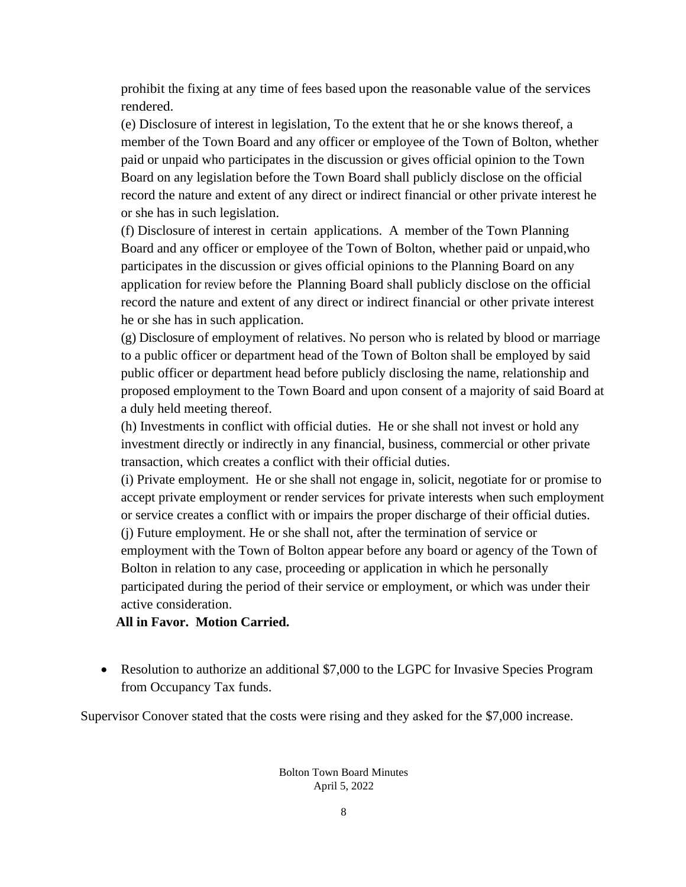prohibit the fixing at any time of fees based upon the reasonable value of the services rendered.

(e) Disclosure of interest in legislation, To the extent that he or she knows thereof, a member of the Town Board and any officer or employee of the Town of Bolton, whether paid or unpaid who participates in the discussion or gives official opinion to the Town Board on any legislation before the Town Board shall publicly disclose on the official record the nature and extent of any direct or indirect financial or other private interest he or she has in such legislation.

(f) Disclosure of interest in certain applications. A member of the Town Planning Board and any officer or employee of the Town of Bolton, whether paid or unpaid,who participates in the discussion or gives official opinions to the Planning Board on any application for review before the Planning Board shall publicly disclose on the official record the nature and extent of any direct or indirect financial or other private interest he or she has in such application.

(g) Disclosure of employment of relatives. No person who is related by blood or marriage to a public officer or department head of the Town of Bolton shall be employed by said public officer or department head before publicly disclosing the name, relationship and proposed employment to the Town Board and upon consent of a majority of said Board at a duly held meeting thereof.

(h) Investments in conflict with official duties. He or she shall not invest or hold any investment directly or indirectly in any financial, business, commercial or other private transaction, which creates a conflict with their official duties.

(i) Private employment. He or she shall not engage in, solicit, negotiate for or promise to accept private employment or render services for private interests when such employment or service creates a conflict with or impairs the proper discharge of their official duties. (j) Future employment. He or she shall not, after the termination of service or

employment with the Town of Bolton appear before any board or agency of the Town of Bolton in relation to any case, proceeding or application in which he personally participated during the period of their service or employment, or which was under their active consideration.

**All in Favor. Motion Carried.**

• Resolution to authorize an additional \$7,000 to the LGPC for Invasive Species Program from Occupancy Tax funds.

Supervisor Conover stated that the costs were rising and they asked for the \$7,000 increase.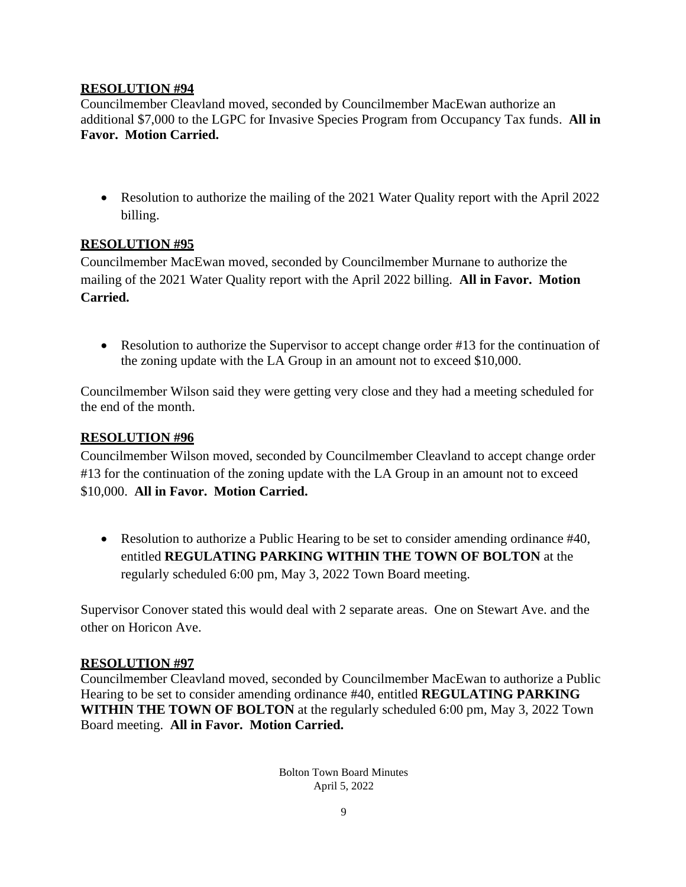## **RESOLUTION #94**

Councilmember Cleavland moved, seconded by Councilmember MacEwan authorize an additional \$7,000 to the LGPC for Invasive Species Program from Occupancy Tax funds. **All in Favor. Motion Carried.**

• Resolution to authorize the mailing of the 2021 Water Quality report with the April 2022 billing.

## **RESOLUTION #95**

Councilmember MacEwan moved, seconded by Councilmember Murnane to authorize the mailing of the 2021 Water Quality report with the April 2022 billing. **All in Favor. Motion Carried.**

• Resolution to authorize the Supervisor to accept change order #13 for the continuation of the zoning update with the LA Group in an amount not to exceed \$10,000.

Councilmember Wilson said they were getting very close and they had a meeting scheduled for the end of the month.

## **RESOLUTION #96**

Councilmember Wilson moved, seconded by Councilmember Cleavland to accept change order #13 for the continuation of the zoning update with the LA Group in an amount not to exceed \$10,000. **All in Favor. Motion Carried.**

• Resolution to authorize a Public Hearing to be set to consider amending ordinance #40, entitled **[REGULATING PARKING WITHIN THE TOWN OF BOLTON](https://www.boltonnewyork.com/government/town-ordinances/2478-ordinance-40-regulating-parking-within-the-town-of-bolton/file.html)** at the regularly scheduled 6:00 pm, May 3, 2022 Town Board meeting.

Supervisor Conover stated this would deal with 2 separate areas. One on Stewart Ave. and the other on Horicon Ave.

### **RESOLUTION #97**

Councilmember Cleavland moved, seconded by Councilmember MacEwan to authorize a Public Hearing to be set to consider amending ordinance #40, entitled **[REGULATING PARKING](https://www.boltonnewyork.com/government/town-ordinances/2478-ordinance-40-regulating-parking-within-the-town-of-bolton/file.html)  [WITHIN THE TOWN OF BOLTON](https://www.boltonnewyork.com/government/town-ordinances/2478-ordinance-40-regulating-parking-within-the-town-of-bolton/file.html)** at the regularly scheduled 6:00 pm, May 3, 2022 Town Board meeting. **All in Favor. Motion Carried.**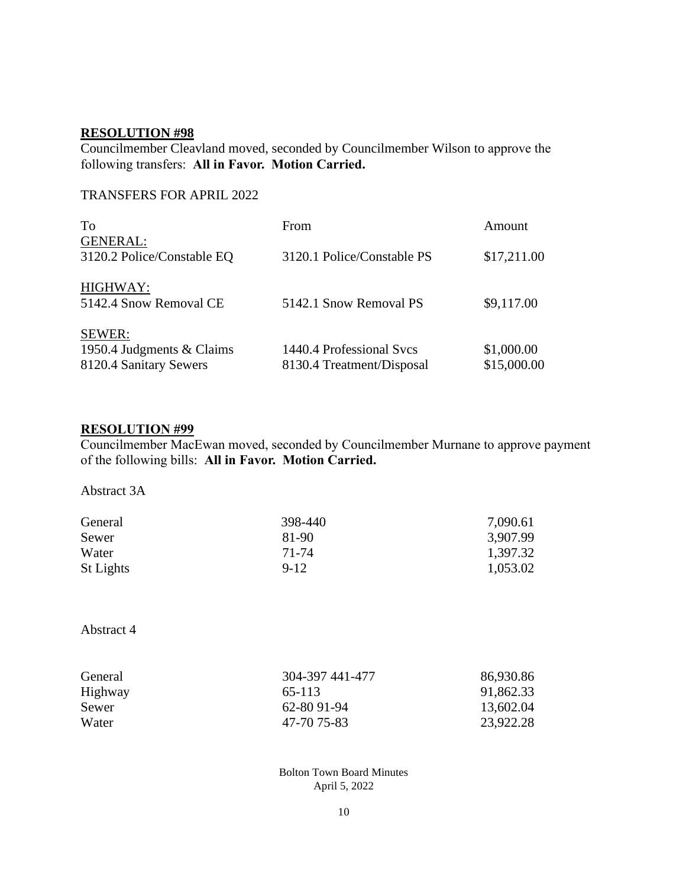## **RESOLUTION #98**

Councilmember Cleavland moved, seconded by Councilmember Wilson to approve the following transfers: **All in Favor. Motion Carried.**

## TRANSFERS FOR APRIL 2022

| To                                                            | From                                                  | Amount                    |
|---------------------------------------------------------------|-------------------------------------------------------|---------------------------|
| <b>GENERAL:</b><br>3120.2 Police/Constable EQ                 | 3120.1 Police/Constable PS                            | \$17,211.00               |
| HIGHWAY:<br>5142.4 Snow Removal CE                            | 5142.1 Snow Removal PS                                | \$9,117.00                |
| SEWER:<br>1950.4 Judgments & Claims<br>8120.4 Sanitary Sewers | 1440.4 Professional Svcs<br>8130.4 Treatment/Disposal | \$1,000.00<br>\$15,000.00 |

## **RESOLUTION #99**

Councilmember MacEwan moved, seconded by Councilmember Murnane to approve payment of the following bills: **All in Favor. Motion Carried.**

Abstract 3A

| General   | 398-440 | 7,090.61 |
|-----------|---------|----------|
| Sewer     | 81-90   | 3,907.99 |
| Water     | 71-74   | 1,397.32 |
| St Lights | $9-12$  | 1,053.02 |

Abstract 4

| General | 304-397 441-477 | 86,930.86 |
|---------|-----------------|-----------|
| Highway | 65-113          | 91,862.33 |
| Sewer   | 62-80 91-94     | 13,602.04 |
| Water   | 47-70 75-83     | 23,922.28 |